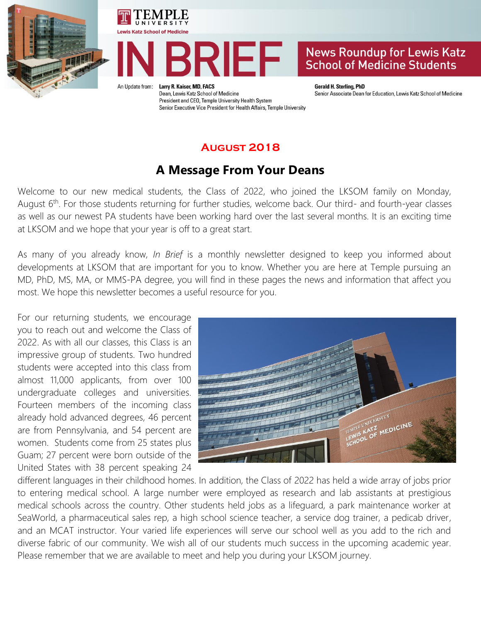





An Update from:

Larry R. Kaiser, MD, FACS Dean, Lewis Katz School of Medicine President and CEO, Temple University Health System Senior Executive Vice President for Health Affairs, Temple University **Gerald H. Sterling, PhD** Senior Associate Dean for Education, Lewis Katz School of Medicine

#### **August 2018**

### **A Message From Your Deans**

Welcome to our new medical students, the Class of 2022, who joined the LKSOM family on Monday, August 6<sup>th</sup>. For those students returning for further studies, welcome back. Our third- and fourth-year classes as well as our newest PA students have been working hard over the last several months. It is an exciting time at LKSOM and we hope that your year is off to a great start.

As many of you already know, *In Brief* is a monthly newsletter designed to keep you informed about developments at LKSOM that are important for you to know. Whether you are here at Temple pursuing an MD, PhD, MS, MA, or MMS-PA degree, you will find in these pages the news and information that affect you most. We hope this newsletter becomes a useful resource for you.

For our returning students, we encourage you to reach out and welcome the Class of 2022. As with all our classes, this Class is an impressive group of students. Two hundred students were accepted into this class from almost 11,000 applicants, from over 100 undergraduate colleges and universities. Fourteen members of the incoming class already hold advanced degrees, 46 percent are from Pennsylvania, and 54 percent are women. Students come from 25 states plus Guam; 27 percent were born outside of the United States with 38 percent speaking 24



different languages in their childhood homes. In addition, the Class of 2022 has held a wide array of jobs prior to entering medical school. A large number were employed as research and lab assistants at prestigious medical schools across the country. Other students held jobs as a lifeguard, a park maintenance worker at SeaWorld, a pharmaceutical sales rep, a high school science teacher, a service dog trainer, a pedicab driver, and an MCAT instructor. Your varied life experiences will serve our school well as you add to the rich and diverse fabric of our community. We wish all of our students much success in the upcoming academic year. Please remember that we are available to meet and help you during your LKSOM journey.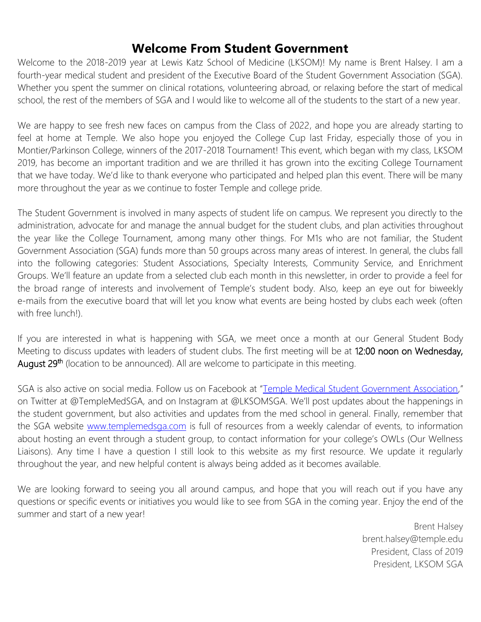### **Welcome From Student Government**

Welcome to the 2018-2019 year at Lewis Katz School of Medicine (LKSOM)! My name is Brent Halsey. I am a fourth-year medical student and president of the Executive Board of the Student Government Association (SGA). Whether you spent the summer on clinical rotations, volunteering abroad, or relaxing before the start of medical school, the rest of the members of SGA and I would like to welcome all of the students to the start of a new year.

We are happy to see fresh new faces on campus from the Class of 2022, and hope you are already starting to feel at home at Temple. We also hope you enjoyed the College Cup last Friday, especially those of you in Montier/Parkinson College, winners of the 2017-2018 Tournament! This event, which began with my class, LKSOM 2019, has become an important tradition and we are thrilled it has grown into the exciting College Tournament that we have today. We'd like to thank everyone who participated and helped plan this event. There will be many more throughout the year as we continue to foster Temple and college pride.

The Student Government is involved in many aspects of student life on campus. We represent you directly to the administration, advocate for and manage the annual budget for the student clubs, and plan activities throughout the year like the College Tournament, among many other things. For M1s who are not familiar, the Student Government Association (SGA) funds more than 50 groups across many areas of interest. In general, the clubs fall into the following categories: Student Associations, Specialty Interests, Community Service, and Enrichment Groups. We'll feature an update from a selected club each month in this newsletter, in order to provide a feel for the broad range of interests and involvement of Temple's student body. Also, keep an eye out for biweekly e-mails from the executive board that will let you know what events are being hosted by clubs each week (often with free lunch!).

If you are interested in what is happening with SGA, we meet once a month at our General Student Body Meeting to discuss updates with leaders of student clubs. The first meeting will be at 12:00 noon on Wednesday, August 29<sup>th</sup> (location to be announced). All are welcome to participate in this meeting.

SGA is also active on social media. Follow us on Facebook at "[Temple Medical Student Government Association](https://www.facebook.com/templemedsga/?ref=br_rs)," on Twitter at @TempleMedSGA, and on Instagram at @LKSOMSGA. We'll post updates about the happenings in the student government, but also activities and updates from the med school in general. Finally, remember that the SGA website [www.templemedsga.com](http://www.templemedsga.com/) is full of resources from a weekly calendar of events, to information about hosting an event through a student group, to contact information for your college's OWLs (Our Wellness Liaisons). Any time I have a question I still look to this website as my first resource. We update it regularly throughout the year, and new helpful content is always being added as it becomes available.

We are looking forward to seeing you all around campus, and hope that you will reach out if you have any questions or specific events or initiatives you would like to see from SGA in the coming year. Enjoy the end of the summer and start of a new year!

> Brent Halsey brent.halsey@temple.edu President, Class of 2019 President, LKSOM SGA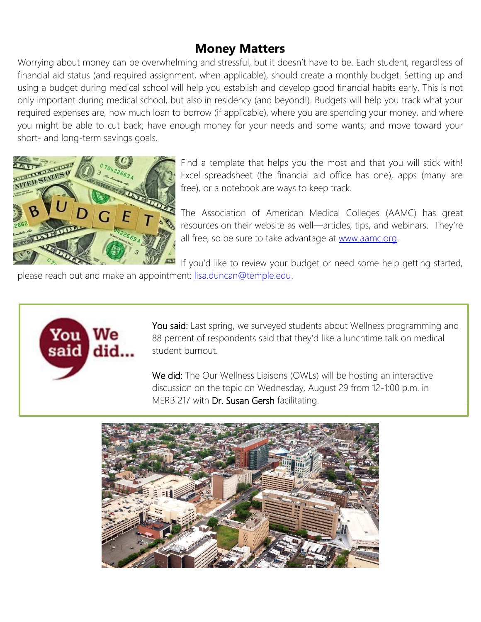## **Money Matters**

Worrying about money can be overwhelming and stressful, but it doesn't have to be. Each student, regardless of financial aid status (and required assignment, when applicable), should create a monthly budget. Setting up and using a budget during medical school will help you establish and develop good financial habits early. This is not only important during medical school, but also in residency (and beyond!). Budgets will help you track what your required expenses are, how much loan to borrow (if applicable), where you are spending your money, and where you might be able to cut back; have enough money for your needs and some wants; and move toward your short- and long-term savings goals.



Find a template that helps you the most and that you will stick with! Excel spreadsheet (the financial aid office has one), apps (many are free), or a notebook are ways to keep track.

The Association of American Medical Colleges (AAMC) has great resources on their website as well—articles, tips, and webinars. They're all free, so be sure to take advantage at [www.aamc.org.](http://www.aamc.org/)

If you'd like to review your budget or need some help getting started,

please reach out and make an appointment: [lisa.duncan@temple.edu.](mailto:lisa.duncan@temple.edu)



You said: Last spring, we surveyed students about Wellness programming and 88 percent of respondents said that they'd like a lunchtime talk on medical student burnout.

We did: The Our Wellness Liaisons (OWLs) will be hosting an interactive discussion on the topic on Wednesday, August 29 from 12-1:00 p.m. in MERB 217 with **Dr. Susan Gersh** facilitating.

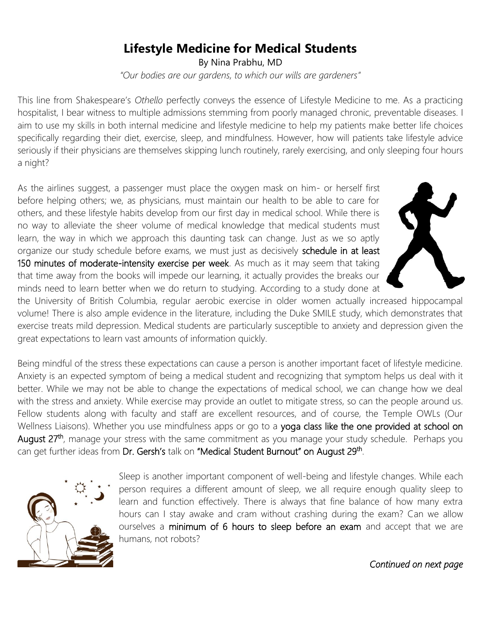# **Lifestyle Medicine for Medical Students**

By Nina Prabhu, MD *"Our bodies are our gardens, to which our wills are gardeners"*

This line from Shakespeare's *Othello* perfectly conveys the essence of Lifestyle Medicine to me. As a practicing hospitalist, I bear witness to multiple admissions stemming from poorly managed chronic, preventable diseases. I aim to use my skills in both internal medicine and lifestyle medicine to help my patients make better life choices specifically regarding their diet, exercise, sleep, and mindfulness. However, how will patients take lifestyle advice seriously if their physicians are themselves skipping lunch routinely, rarely exercising, and only sleeping four hours a night?

As the airlines suggest, a passenger must place the oxygen mask on him- or herself first before helping others; we, as physicians, must maintain our health to be able to care for others, and these lifestyle habits develop from our first day in medical school. While there is no way to alleviate the sheer volume of medical knowledge that medical students must learn, the way in which we approach this daunting task can change. Just as we so aptly organize our study schedule before exams, we must just as decisively schedule in at least 150 minutes of moderate-intensity exercise per week. As much as it may seem that taking that time away from the books will impede our learning, it actually provides the breaks our minds need to learn better when we do return to studying. According to a study done at



the University of British Columbia, regular aerobic exercise in older women actually increased hippocampal volume! There is also ample evidence in the literature, including the Duke SMILE study, which demonstrates that exercise treats mild depression. Medical students are particularly susceptible to anxiety and depression given the great expectations to learn vast amounts of information quickly.

Being mindful of the stress these expectations can cause a person is another important facet of lifestyle medicine. Anxiety is an expected symptom of being a medical student and recognizing that symptom helps us deal with it better. While we may not be able to change the expectations of medical school, we can change how we deal with the stress and anxiety. While exercise may provide an outlet to mitigate stress, so can the people around us. Fellow students along with faculty and staff are excellent resources, and of course, the Temple OWLs (Our Wellness Liaisons). Whether you use mindfulness apps or go to a yoga class like the one provided at school on August 27<sup>th</sup>, manage your stress with the same commitment as you manage your study schedule. Perhaps you can get further ideas from Dr. Gersh's talk on "Medical Student Burnout" on August 29<sup>th</sup>.



Sleep is another important component of well-being and lifestyle changes. While each person requires a different amount of sleep, we all require enough quality sleep to learn and function effectively. There is always that fine balance of how many extra hours can I stay awake and cram without crashing during the exam? Can we allow ourselves a minimum of 6 hours to sleep before an exam and accept that we are humans, not robots?

*Continued on next page*